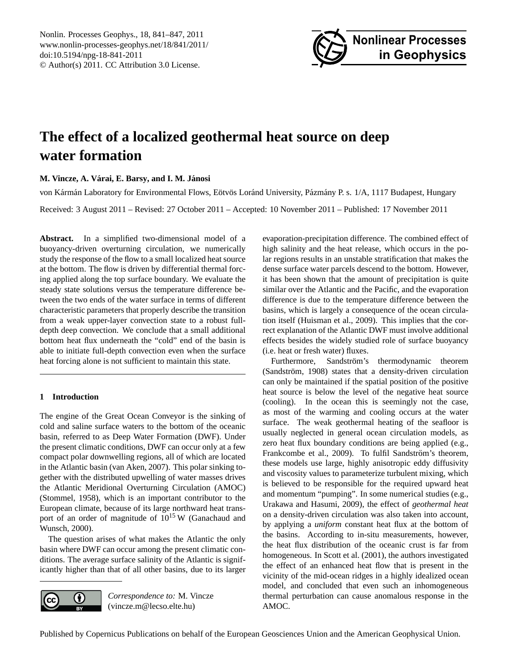<span id="page-0-0"></span>Nonlin. Processes Geophys., 18, 841–847, 2011 www.nonlin-processes-geophys.net/18/841/2011/ doi:10.5194/npg-18-841-2011 © Author(s) 2011. CC Attribution 3.0 License.



# **The effect of a localized geothermal heat source on deep water formation**

# $M$ . Vincze, A. Várai, E. Barsy, and I. M. Jánosi

von Kármán Laboratory for Environmental Flows, Eötvös Loránd University, Pázmány P. s. 1/A, 1117 Budapest, Hungary

Received: 3 August 2011 – Revised: 27 October 2011 – Accepted: 10 November 2011 – Published: 17 November 2011

**Abstract.** In a simplified two-dimensional model of a buoyancy-driven overturning circulation, we numerically study the response of the flow to a small localized heat source at the bottom. The flow is driven by differential thermal forcing applied along the top surface boundary. We evaluate the steady state solutions versus the temperature difference between the two ends of the water surface in terms of different characteristic parameters that properly describe the transition from a weak upper-layer convection state to a robust fulldepth deep convection. We conclude that a small additional bottom heat flux underneath the "cold" end of the basin is able to initiate full-depth convection even when the surface heat forcing alone is not sufficient to maintain this state.

# **1 Introduction**

The engine of the Great Ocean Conveyor is the sinking of cold and saline surface waters to the bottom of the oceanic basin, referred to as Deep Water Formation (DWF). Under the present climatic conditions, DWF can occur only at a few compact polar downwelling regions, all of which are located in the Atlantic basin [\(van Aken,](#page-6-0) [2007\)](#page-6-0). This polar sinking together with the distributed upwelling of water masses drives the Atlantic Meridional Overturning Circulation (AMOC) [\(Stommel,](#page-6-1) [1958\)](#page-6-1), which is an important contributor to the European climate, because of its large northward heat transport of an order of magnitude of  $10^{15}$  W [\(Ganachaud and](#page-6-2) [Wunsch,](#page-6-2) [2000\)](#page-6-2).

The question arises of what makes the Atlantic the only basin where DWF can occur among the present climatic conditions. The average surface salinity of the Atlantic is significantly higher than that of all other basins, due to its larger



*Correspondence to:* M. Vincze (vincze.m@lecso.elte.hu)

evaporation-precipitation difference. The combined effect of high salinity and the heat release, which occurs in the polar regions results in an unstable stratification that makes the dense surface water parcels descend to the bottom. However, it has been shown that the amount of precipitation is quite similar over the Atlantic and the Pacific, and the evaporation difference is due to the temperature difference between the basins, which is largely a consequence of the ocean circulation itself [\(Huisman et al.,](#page-6-3) [2009\)](#page-6-3). This implies that the correct explanation of the Atlantic DWF must involve additional effects besides the widely studied role of surface buoyancy (i.e. heat or fresh water) fluxes.

Furthermore, Sandström's thermodynamic theorem (Sandström, [1908\)](#page-6-4) states that a density-driven circulation can only be maintained if the spatial position of the positive heat source is below the level of the negative heat source (cooling). In the ocean this is seemingly not the case, as most of the warming and cooling occurs at the water surface. The weak geothermal heating of the seafloor is usually neglected in general ocean circulation models, as zero heat flux boundary conditions are being applied (e.g., [Frankcombe et al.,](#page-6-5) [2009\)](#page-6-5). To fulfil Sandström's theorem, these models use large, highly anisotropic eddy diffusivity and viscosity values to parameterize turbulent mixing, which is believed to be responsible for the required upward heat and momentum "pumping". In some numerical studies (e.g., [Urakawa and Hasumi,](#page-6-6) [2009\)](#page-6-6), the effect of *geothermal heat* on a density-driven circulation was also taken into account, by applying a *uniform* constant heat flux at the bottom of the basins. According to in-situ measurements, however, the heat flux distribution of the oceanic crust is far from homogeneous. In [Scott et al.](#page-6-7) [\(2001\)](#page-6-7), the authors investigated the effect of an enhanced heat flow that is present in the vicinity of the mid-ocean ridges in a highly idealized ocean model, and concluded that even such an inhomogeneous thermal perturbation can cause anomalous response in the AMOC.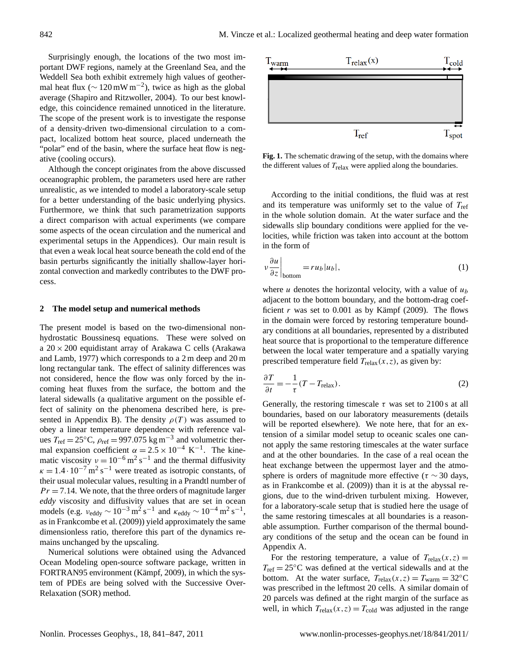Surprisingly enough, the locations of the two most important DWF regions, namely at the Greenland Sea, and the Weddell Sea both exhibit extremely high values of geothermal heat flux ( $\sim 120 \text{ mW m}^{-2}$ ), twice as high as the global average [\(Shapiro and Ritzwoller,](#page-6-8) [2004\)](#page-6-8). To our best knowledge, this coincidence remained unnoticed in the literature. The scope of the present work is to investigate the response of a density-driven two-dimensional circulation to a compact, localized bottom heat source, placed underneath the "polar" end of the basin, where the surface heat flow is negative (cooling occurs).

Although the concept originates from the above discussed oceanographic problem, the parameters used here are rather unrealistic, as we intended to model a laboratory-scale setup for a better understanding of the basic underlying physics. Furthermore, we think that such parametrization supports a direct comparison with actual experiments (we compare some aspects of the ocean circulation and the numerical and experimental setups in the Appendices). Our main result is that even a weak local heat source beneath the cold end of the basin perturbs significantly the initially shallow-layer horizontal convection and markedly contributes to the DWF process.

#### **2 The model setup and numerical methods**

The present model is based on the two-dimensional nonhydrostatic Boussinesq equations. These were solved on a  $20 \times 200$  equidistant array of Arakawa C cells [\(Arakawa](#page-6-9) [and Lamb,](#page-6-9) [1977\)](#page-6-9) which corresponds to a 2 m deep and 20 m long rectangular tank. The effect of salinity differences was not considered, hence the flow was only forced by the incoming heat fluxes from the surface, the bottom and the lateral sidewalls (a qualitative argument on the possible effect of salinity on the phenomena described here, is presented in Appendix B). The density  $\rho(T)$  was assumed to obey a linear temperature dependence with reference values  $T_{\text{ref}} = 25$ °C,  $\rho_{\text{ref}} = 997.075 \text{ kg m}^{-3}$  and volumetric thermal expansion coefficient  $\alpha = 2.5 \times 10^{-4} \text{ K}^{-1}$ . The kinematic viscosity  $v = 10^{-6}$  m<sup>2</sup> s<sup>-1</sup> and the thermal diffusivity  $\kappa = 1.4 \cdot 10^{-7}$  m<sup>2</sup> s<sup>-1</sup> were treated as isotropic constants, of their usual molecular values, resulting in a Prandtl number of  $Pr = 7.14$ . We note, that the three orders of magnitude larger *eddy* viscosity and diffusivity values that are set in ocean models (e.g.  $v_{\text{eddy}} \sim 10^{-3} \text{ m}^2 \text{ s}^{-1}$  and  $\kappa_{\text{eddy}} \sim 10^{-4} \text{ m}^2 \text{ s}^{-1}$ , as in [Frankcombe et al.](#page-6-5) [\(2009\)](#page-6-5)) yield approximately the same dimensionless ratio, therefore this part of the dynamics remains unchanged by the upscaling.

Numerical solutions were obtained using the Advanced Ocean Modeling open-source software package, written in FORTRAN95 environment (Kämpf, [2009\)](#page-6-10), in which the system of PDEs are being solved with the Successive Over-Relaxation (SOR) method.



<span id="page-1-0"></span>**Fig. 1.** The schematic drawing of the setup, with the domains where the different values of  $T_{relax}$  were applied along the boundaries.

According to the initial conditions, the fluid was at rest and its temperature was uniformly set to the value of  $T_{ref}$ in the whole solution domain. At the water surface and the sidewalls slip boundary conditions were applied for the velocities, while friction was taken into account at the bottom in the form of

$$
\nu \frac{\partial u}{\partial z}\Big|_{\text{bottom}} = ru_b |u_b|,\tag{1}
$$

where u denotes the horizontal velocity, with a value of  $u<sub>b</sub>$ adjacent to the bottom boundary, and the bottom-drag coefficient r was set to  $0.001$  as by Kämpf  $(2009)$ . The flows in the domain were forced by restoring temperature boundary conditions at all boundaries, represented by a distributed heat source that is proportional to the temperature difference between the local water temperature and a spatially varying prescribed temperature field  $T_{relax}(x, z)$ , as given by:

<span id="page-1-1"></span>
$$
\frac{\partial T}{\partial t} = -\frac{1}{\tau} (T - T_{\text{relax}}). \tag{2}
$$

Generally, the restoring timescale  $\tau$  was set to 2100 s at all boundaries, based on our laboratory measurements (details will be reported elsewhere). We note here, that for an extension of a similar model setup to oceanic scales one cannot apply the same restoring timescales at the water surface and at the other boundaries. In the case of a real ocean the heat exchange between the uppermost layer and the atmosphere is orders of magnitude more effective ( $\tau \sim 30$  days, as in [Frankcombe et al.](#page-6-5) [\(2009\)](#page-6-5)) than it is at the abyssal regions, due to the wind-driven turbulent mixing. However, for a laboratory-scale setup that is studied here the usage of the same restoring timescales at all boundaries is a reasonable assumption. Further comparison of the thermal boundary conditions of the setup and the ocean can be found in Appendix A.

For the restoring temperature, a value of  $T_{relax}(x, z) =$  $T_{\text{ref}} = 25^{\circ}\text{C}$  was defined at the vertical sidewalls and at the bottom. At the water surface,  $T_{relax}(x, z) = T_{warm} = 32^{\circ}C$ was prescribed in the leftmost 20 cells. A similar domain of 20 parcels was defined at the right margin of the surface as well, in which  $T_{relax}(x, z) = T_{cold}$  was adjusted in the range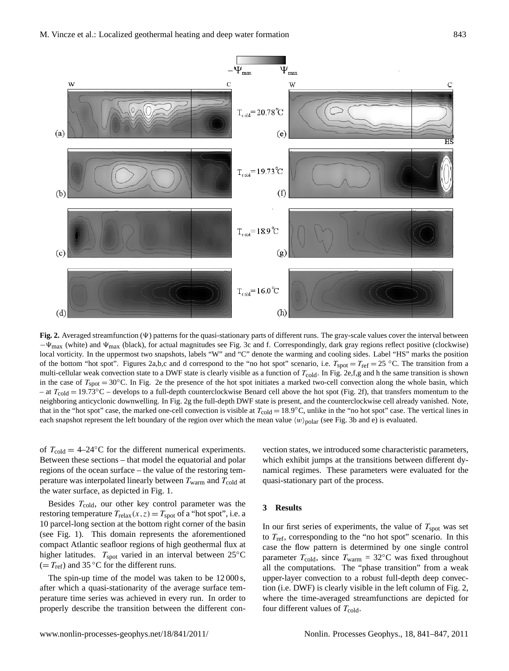

<span id="page-2-0"></span>**Fig. 2.** Averaged streamfunction  $(\Psi)$  patterns for the quasi-stationary parts of different runs. The gray-scale values cover the interval between  $-v_{\text{max}}$  (white) and  $v_{\text{max}}$  (black), for actual magnitudes see Fig. [3c](#page-3-0) and f. Correspondingly, dark gray regions reflect positive (clockwise) local vorticity. In the uppermost two snapshots, labels "W" and "C" denote the warming and cooling sides. Label "HS" marks the position of the bottom "hot spot". Figures [2a](#page-2-0),b,c and d correspond to the "no hot spot" scenario, i.e.  $T_{spot} = T_{ref} = 25$  °C. The transition from a multi-cellular weak convection state to a DWF state is clearly visible as a function of  $T_{\text{cold}}$ . In Fig. [2e](#page-2-0),f,g and h the same transition is shown in the case of  $T_{\text{spot}} = 30^{\circ}\text{C}$ . In Fig. [2e](#page-2-0) the presence of the hot spot initiates a marked two-cell convection along the whole basin, which – at  $T_{\text{cold}} = 19.73 \text{°C}$  – develops to a full-depth counterclockwise Benard cell above the hot spot (Fig. [2f](#page-2-0)), that transfers momentum to the neighboring anticyclonic downwelling. In Fig. [2g](#page-2-0) the full-depth DWF state is present, and the counterclockwise cell already vanished. Note, that in the "hot spot" case, the marked one-cell convection is visible at  $T_{\text{cold}} = 18.9^{\circ}\text{C}$ , unlike in the "no hot spot" case. The vertical lines in each snapshot represent the left boundary of the region over which the mean value  $\langle w \rangle_{\text{polar}}$  (see Fig. [3b](#page-3-0) and e) is evaluated.

of  $T_{\text{cold}} = 4-24\degree C$  for the different numerical experiments. Between these sections – that model the equatorial and polar regions of the ocean surface – the value of the restoring temperature was interpolated linearly between  $T_{\text{warm}}$  and  $T_{\text{cold}}$  at the water surface, as depicted in Fig. [1.](#page-1-0)

Besides  $T_{\text{cold}}$ , our other key control parameter was the restoring temperature  $T_{relax}(x, z) = T_{spot}$  of a "hot spot", i.e. a 10 parcel-long section at the bottom right corner of the basin (see Fig. [1\)](#page-1-0). This domain represents the aforementioned compact Atlantic seafloor regions of high geothermal flux at higher latitudes.  $T_{\text{spot}}$  varied in an interval between 25°C  $(= T_{ref})$  and 35 °C for the different runs.

The spin-up time of the model was taken to be  $12\,000$  s, after which a quasi-stationarity of the average surface temperature time series was achieved in every run. In order to properly describe the transition between the different con-

vection states, we introduced some characteristic parameters, which exhibit jumps at the transitions between different dynamical regimes. These parameters were evaluated for the quasi-stationary part of the process.

# **3 Results**

In our first series of experiments, the value of  $T_{\text{spot}}$  was set to  $T_{\text{ref}}$ , corresponding to the "no hot spot" scenario. In this case the flow pattern is determined by one single control parameter  $T_{\text{cold}}$ , since  $T_{\text{warm}} = 32$ °C was fixed throughout all the computations. The "phase transition" from a weak upper-layer convection to a robust full-depth deep convection (i.e. DWF) is clearly visible in the left column of Fig. [2,](#page-2-0) where the time-averaged streamfunctions are depicted for four different values of  $T_{\text{cold}}$ .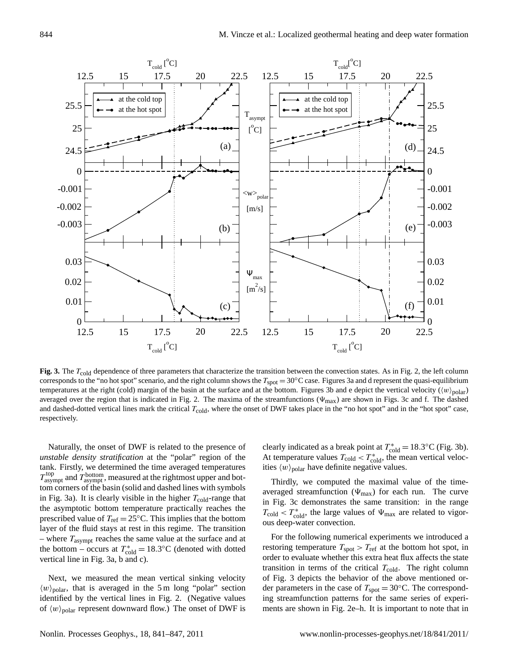

<span id="page-3-0"></span>Fig. 3. The  $T_{\text{cold}}$  dependence of three parameters that characterize the transition between the convection states. As in Fig. [2,](#page-2-0) the left column corresponds to the "no hot spot" scenario, and the right column shows the  $T_{spot} = 30^{\circ}$ C case. Figures [3a](#page-3-0) and d represent the quasi-equilibrium averaged over the region that is indicated in Fig. [2.](#page-2-0) The maxima of the streamfunctions ( $\Psi_{\text{max}}$ ) are shown in Figs. [3c](#page-3-0) and f. The dashed and dashed-dotted vertical lines mark the critical  $T_{\text{cold}}$ , where the onset of DWF takes place in the "no hot spot" and in the "hot spot" case,  $t_{\rm H}$  is indicated in Fig. 2. The maxima of the streamfunctions  $\mathcal{L}_{\rm H}$ temperatures at the right (cold) margin of the basin at the surface and at the bottom. Figures [3b](#page-3-0) and e depict the vertical velocity  $(\langle w \rangle_{\text{polar}})$ respectively.

Naturally, the onset of DWF is related to the presence of – where  $T_{\text{asympt}}$  reaches the same value at the surface and at *unstable density stratification* at the "polar" region of the tank. Firstly, we determined the time averaged temperatures  $T_{\text{asympt}}^{\text{top}}$  and  $T_{\text{asympt}}^{\text{bottom}}$ , measured at the rightmost upper and bottom corners of the basin (solid and dashed lines with symbols in Fig. [3a](#page-3-0)). It is clearly visible in the higher  $T_{\text{cold}}$ -range that the asymptotic bottom temperature practically reaches the prescribed value of  $T_{ref} = 25$ °C. This implies that the bottom layer of the fluid stays at rest in this regime. The transition the bottom – occurs at  $T_{\text{cold}}^* = 18.3$ °C (denoted with dotted vertical line in Fig. [3a](#page-3-0), b and c).

Next, we measured the mean vertical sinking velocity  $\langle w \rangle_{\text{polar}}$ , that is averaged in the 5 m long "polar" section identified by the vertical lines in Fig. [2.](#page-2-0) (Negative values of  $\langle w \rangle_{\text{polar}}$  represent downward flow.) The onset of DWF is

clearly indicated as a break point at  $T_{\text{cold}}^* = 18.3$ °C (Fig. [3b](#page-3-0)). At temperature values  $T_{\text{cold}} < T_{\text{cold}}^*$ , the mean vertical velocities  $\langle w \rangle_{\text{polar}}$  have definite negative values.

Thirdly, we computed the maximal value of the timeaveraged streamfunction ( $\Psi_{\text{max}}$ ) for each run. The curve in Fig. [3c](#page-3-0) demonstrates the same transition: in the range  $T_{\text{cold}} < T_{\text{cold}}^*$ , the large values of  $\Psi_{\text{max}}$  are related to vigorous deep-water convection.

For the following numerical experiments we introduced a restoring temperature  $T_{\text{spot}} > T_{\text{ref}}$  at the bottom hot spot, in order to evaluate whether this extra heat flux affects the state transition in terms of the critical  $T_{\text{cold}}$ . The right column of Fig. [3](#page-3-0) depicts the behavior of the above mentioned order parameters in the case of  $T_{\text{spot}} = 30^{\circ}\text{C}$ . The corresponding streamfunction patterns for the same series of experiments are shown in Fig. [2e](#page-2-0)–h. It is important to note that in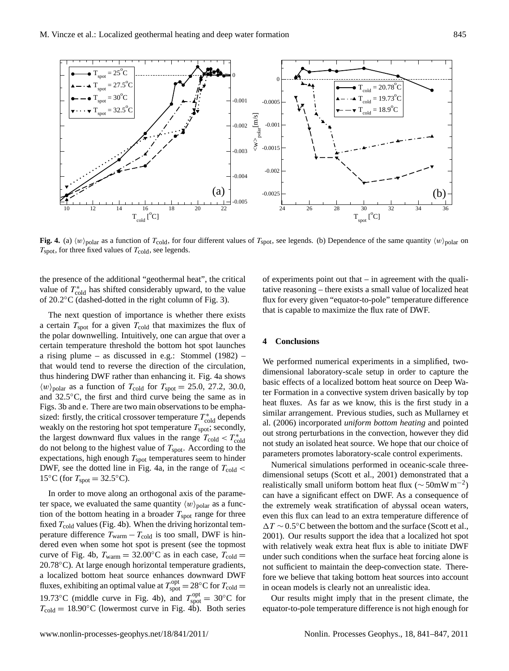

<span id="page-4-0"></span>Fig. 4. (a)  $\langle w \rangle_{\text{polar}}$  as a function of  $T_{\text{cold}}$ , for four different values of  $T_{\text{spot}}$ , see legends. (b) Dependence of the same quantity  $\langle w \rangle_{\text{polar}}$  on  $T_{\text{spot}}$ , for three fixed values of  $T_{\text{cold}}$ , see legends.

the presence of the additional "geothermal heat", the critical value of  $T_{\rm cold}^*$  has shifted considerably upward, to the value of 20.2°C (dashed-dotted in the right column of Fig. [3\)](#page-3-0).

the largest downward flux values in the range  $T_{\text{cold}} < T_{\text{odd}}^*$ <br>do not belong to the highest value of  $T_{\text{total}}$ The next question of importance is whether there exists a certain  $T_{\text{spot}}$  for a given  $T_{\text{cold}}$  that maximizes the flux of the polar downwelling. Intuitively, one can argue that over a certain temperature threshold the bottom hot spot launches a rising plume – as discussed in e.g.: [Stommel](#page-6-11) [\(1982\)](#page-6-11) – that would tend to reverse the direction of the circulation, thus hindering DWF rather than enhancing it. Fig. [4a](#page-4-0) shows  $\langle w \rangle_{\text{polar}}$  as a function of  $T_{\text{cold}}$  for  $T_{\text{spot}} = 25.0, 27.2, 30.0,$ and 32.5◦C, the first and third curve being the same as in Figs. [3b](#page-3-0) and e. There are two main observations to be emphasized: firstly, the critical crossover temperature  $T_{\text{cold}}^*$  depends weakly on the restoring hot spot temperature  $T_{\text{spot}}$ ; secondly, do not belong to the highest value of  $T_{\text{spot}}$ . According to the expectations, high enough  $T_{spot}$  temperatures seem to hinder DWF, see the dotted line in Fig. [4a](#page-4-0), in the range of  $T_{\text{cold}}$  < 15 $°C$  (for  $T_{spot} = 32.5$ °C).

In order to move along an orthogonal axis of the parameter space, we evaluated the same quantity  $\langle w \rangle_{\text{polar}}$  as a function of the bottom heating in a broader  $T_{\text{spot}}$  range for three fixed  $T_{\text{cold}}$  values (Fig. [4b](#page-4-0)). When the driving horizontal temperature difference  $T_{\text{warm}} - T_{\text{cold}}$  is too small, DWF is hindered even when some hot spot is present (see the topmost curve of Fig. [4b](#page-4-0),  $T_{\text{warm}} = 32.00^{\circ} \text{C}$  as in each case,  $T_{\text{cold}} =$ 20.78◦C). At large enough horizontal temperature gradients, a localized bottom heat source enhances downward DWF fluxes, exhibiting an optimal value at  $T_{\text{spot}}^{\text{opt}} = 28^{\circ}\text{C}$  for  $T_{\text{cold}} =$ 19.73°C (middle curve in Fig. [4b](#page-4-0)), and  $T_{\text{spot}}^{\text{opt}} = 30^{\circ}\text{C}$  for  $T_{\text{cold}} = 18.90^{\circ}\text{C}$  (lowermost curve in Fig. [4b](#page-4-0)). Both series

of experiments point out that – in agreement with the qualitative reasoning – there exists a small value of localized heat flux for every given "equator-to-pole" temperature difference that is capable to maximize the flux rate of DWF.

### **4 Conclusions**

We performed numerical experiments in a simplified, twodimensional laboratory-scale setup in order to capture the basic effects of a localized bottom heat source on Deep Water Formation in a convective system driven basically by top heat fluxes. As far as we know, this is the first study in a similar arrangement. Previous studies, such as [Mullarney et](#page-6-12) [al.](#page-6-12) [\(2006\)](#page-6-12) incorporated *uniform bottom heating* and pointed out strong perturbations in the convection, however they did not study an isolated heat source. We hope that our choice of parameters promotes laboratory-scale control experiments.

Numerical simulations performed in oceanic-scale threedimensional setups [\(Scott et al.,](#page-6-7) [2001\)](#page-6-7) demonstrated that a realistically small uniform bottom heat flux ( $\sim$  50mW m<sup>-2</sup>) can have a significant effect on DWF. As a consequence of the extremely weak stratification of abyssal ocean waters, even this flux can lead to an extra temperature difference of ∆T ~ 0.5°C between the bottom and the surface [\(Scott et al.,](#page-6-7) [2001\)](#page-6-7). Our results support the idea that a localized hot spot with relatively weak extra heat flux is able to initiate DWF under such conditions when the surface heat forcing alone is not sufficient to maintain the deep-convection state. Therefore we believe that taking bottom heat sources into account in ocean models is clearly not an unrealistic idea.

Our results might imply that in the present climate, the equator-to-pole temperature difference is not high enough for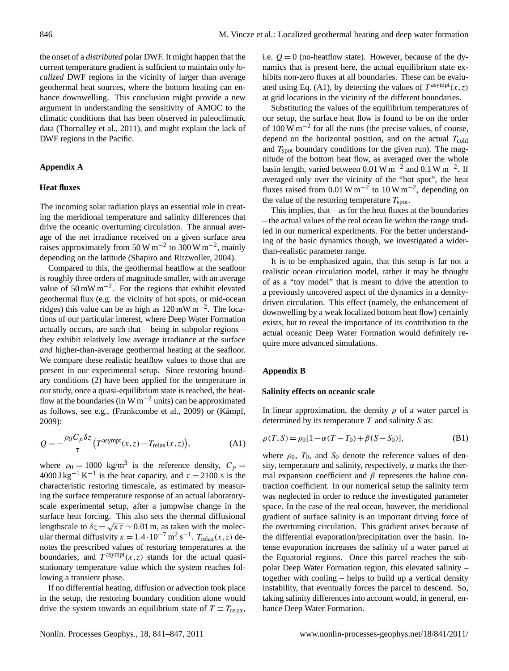the onset of a *distributed* polar DWF. It might happen that the current temperature gradient is sufficient to maintain only *localized* DWF regions in the vicinity of larger than average geothermal heat sources, where the bottom heating can enhance downwelling. This conclusion might provide a new argument in understanding the sensitivity of AMOC to the climatic conditions that has been observed in paleoclimatic data [\(Thornalley et al.,](#page-6-13) [2011\)](#page-6-13), and might explain the lack of DWF regions in the Pacific.

## **Appendix A**

# **Heat fluxes**

The incoming solar radiation plays an essential role in creating the meridional temperature and salinity differences that drive the oceanic overturning circulation. The annual average of the net irradiance received on a given surface area raises approximately from 50 W m<sup>-2</sup> to 300 W m<sup>-2</sup>, mainly depending on the latitude [\(Shapiro and Ritzwoller,](#page-6-8) [2004\)](#page-6-8).

Compared to this, the geothermal heatflow at the seafloor is roughly three orders of magnitude smaller, with an average value of 50 mW m−<sup>2</sup> . For the regions that exhibit elevated geothermal flux (e.g. the vicinity of hot spots, or mid-ocean ridges) this value can be as high as  $120 \,\text{mW m}^{-2}$ . The locations of our particular interest, where Deep Water Formation actually occurs, are such that – being in subpolar regions – they exhibit relatively low average irradiance at the surface *and* higher-than-average geothermal heating at the seafloor. We compare these realistic heatflow values to those that are present in our experimental setup. Since restoring boundary conditions [\(2\)](#page-1-1) have been applied for the temperature in our study, once a quasi-equilibrium state is reached, the heatflow at the boundaries (in W  $m^{-2}$  units) can be approximated as follows, see e.g., [\(Frankcombe et al.,](#page-6-5) [2009\)](#page-6-5) or (Kämpf, [2009\)](#page-6-10):

<span id="page-5-0"></span>
$$
Q = -\frac{\rho_0 C_p \delta z}{\tau} \left( T^{\text{asympt}}(x, z) - T_{\text{relax}}(x, z) \right),\tag{A1}
$$

where  $\rho_0 = 1000 \text{ kg/m}^3$  is the reference density,  $C_p =$  $4000 \text{ J kg}^{-1} \text{ K}^{-1}$  is the heat capacity, and  $\tau = 2100 \text{ s}$  is the characteristic restoring timescale, as estimated by measuring the surface temperature response of an actual laboratoryscale experimental setup, after a jumpwise change in the surface heat forcing. This also sets the thermal diffusional lengthscale to  $\delta z = \sqrt{\kappa \tau} \sim 0.01$  m, as taken with the molecular thermal diffusivity  $\kappa = 1.4 \cdot 10^{-7} \,\text{m}^2 \,\text{s}^{-1}$ .  $T_{\text{relax}}(x, z)$  denotes the prescribed values of restoring temperatures at the boundaries, and  $T^{asympt}(x, z)$  stands for the actual quasistationary temperature value which the system reaches following a transient phase.

If no differential heating, diffusion or advection took place in the setup, the restoring boundary condition alone would drive the system towards an equilibrium state of  $T \equiv T_{\text{relax}}$ , i.e.  $Q = 0$  (no-heatflow state). However, because of the dynamics that is present here, the actual equilibrium state exhibits non-zero fluxes at all boundaries. These can be evalu-ated using Eq. [\(A1\)](#page-5-0), by detecting the values of  $T^{asympt}(x, z)$ at grid locations in the vicinity of the different boundaries.

Substituting the values of the equilibrium temperatures of our setup, the surface heat flow is found to be on the order of 100 W m−<sup>2</sup> for all the runs (the precise values, of course, depend on the horizontal position, and on the actual  $T_{\text{cold}}$ and  $T_{\text{spot}}$  boundary conditions for the given run). The magnitude of the bottom heat flow, as averaged over the whole basin length, varied between 0.01 W m<sup>-2</sup> and 0.1 W m<sup>-2</sup>. If averaged only over the vicinity of the "hot spot", the heat fluxes raised from 0.01 W m<sup>-2</sup> to 10 W m<sup>-2</sup>, depending on the value of the restoring temperature  $T_{\text{spot}}$ .

This implies, that  $-$  as for the heat fluxes at the boundaries – the actual values of the real ocean lie within the range studied in our numerical experiments. For the better understanding of the basic dynamics though, we investigated a widerthan-realistic parameter range.

It is to be emphasized again, that this setup is far not a realistic ocean circulation model, rather it may be thought of as a "toy model" that is meant to drive the attention to a previously uncovered aspect of the dynamics in a densitydriven circulation. This effect (namely, the enhancement of downwelling by a weak localized bottom heat flow) certainly exists, but to reveal the importance of its contribution to the actual oceanic Deep Water Formation would definitely require more advanced simulations.

### **Appendix B**

#### **Salinity effects on oceanic scale**

In linear approximation, the density  $\rho$  of a water parcel is determined by its temperature  $T$  and salinity  $S$  as:

$$
\rho(T, S) = \rho_0 [1 - \alpha (T - T_0) + \beta (S - S_0)],
$$
 (B1)

where  $\rho_0$ ,  $T_0$ , and  $S_0$  denote the reference values of density, temperature and salinity, respectively,  $\alpha$  marks the thermal expansion coefficient and  $\beta$  represents the haline contraction coefficient. In our numerical setup the salinity term was neglected in order to reduce the investigated parameter space. In the case of the real ocean, however, the meridional gradient of surface salinity is an important driving force of the overturning circulation. This gradient arises because of the differential evaporation/precipitation over the basin. Intense evaporation increases the salinity of a water parcel at the Equatorial regions. Once this parcel reaches the subpolar Deep Water Formation region, this elevated salinity – together with cooling – helps to build up a vertical density instability, that eventually forces the parcel to descend. So, taking salinity differences into account would, in general, enhance Deep Water Formation.